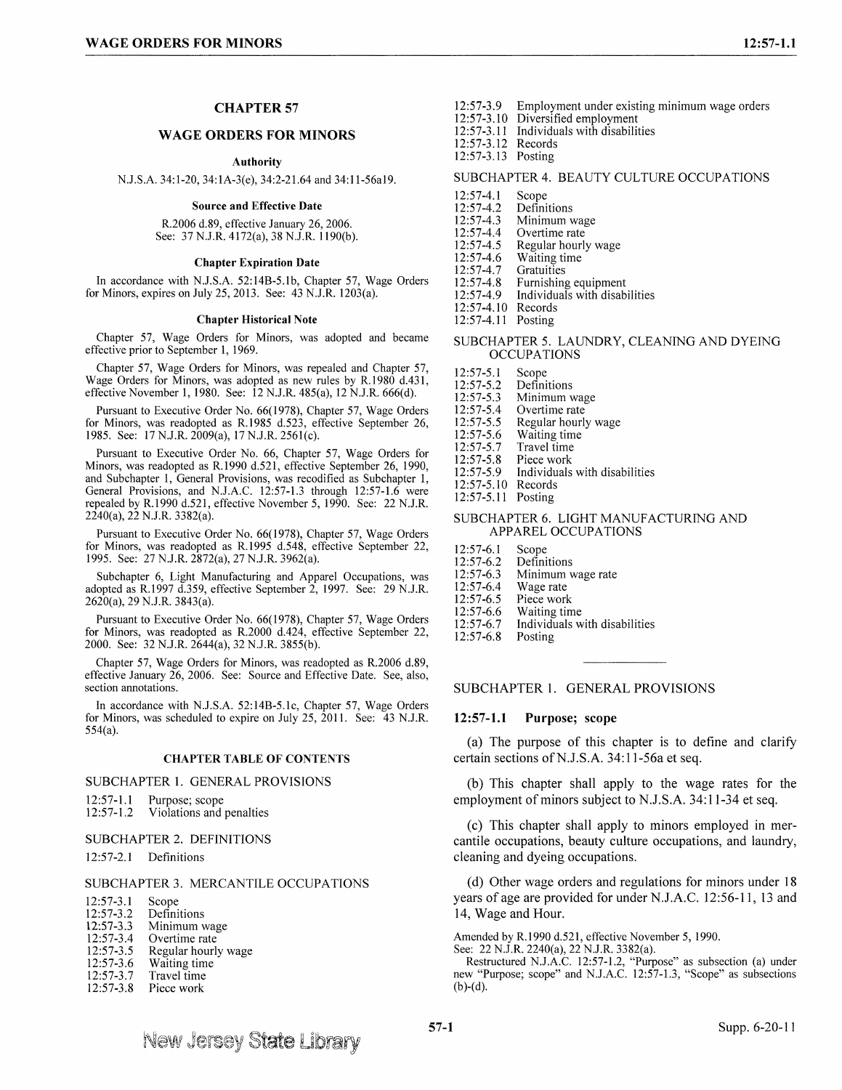# **CHAPTER57**

# **WAGE ORDERS FOR MINORS**

**Authority** 

N.J.S.A. 34:1-20, 34:1A-3(e), 34:2-21.64 and 34:11-56a19.

**Source and Effective Date** 

R.2006 d.89, effective January 26, 2006. See: 37 N.J.R. 4172(a), 38 N.J.R. 1190(b).

#### **Chapter Expiration Date**

In accordance with N.J.S.A. 52:14B-5.lb, Chapter 57, Wage Orders for Minors, expires on July 25, 2013. See:  $\angle 43$  N.J.R. 1203(a).

#### **Chapter Historical Note**

Chapter 57, Wage Orders for Minors, was adopted and became effective prior to September I, 1969.

Chapter 57, Wage Orders for Minors, was repealed and Chapter 57, Wage Orders for Minors, was adopted as new rules by R.1980 d.431, effective November 1, 1980. See: 12 N.J.R. 485(a), 12 N.J.R. 666(d).

Pursuant to Executive Order No. 66(1978), Chapter 57, Wage Orders for Minors, was readopted as R.1985 d.523, effective September 26, 1985. See: 17 N.J.R. 2009(a), 17 N.J.R. 256l(c).

Pursuant to Executive Order No. 66, Chapter 57, Wage Orders for Minors, was readopted as R.1990 d.521, effective September 26, 1990, and Subchapter 1, General Provisions, was recodified as Subchapter 1, General Provisions, and N.J.A.C. 12:57-1.3 through 12:57-1.6 were repealed by R.1990 d.521, effective November 5, 1990. See: 22 N.J.R. 2240(a), 22 N.J.R. 3382(a).

Pursuant to Executive Order No. 66(1978), Chapter 57, Wage Orders for Minors, was readopted as R.1995 d.548, effective September 22, 1995. See: 27 N.J.R. 2872(a), 27 N.J.R. 3962(a).

Subchapter 6, Light Manufacturing and Apparel Occupations, was adopted as R.1997 d.359, effective September 2, 1997. See: 29 N.J.R.  $2620(a)$ , 29 N.J.R. 3843(a).

Pursuant to Executive Order No. 66(1978), Chapter 57, Wage Orders for Minors, was readopted as R.2000 d.424, effective September 22, 2000. See: 32 **N.J.R.** 2644(a), 32 N.J.R. 3855(b).

Chapter 57, Wage Orders for Minors, was readopted as R.2006 d.89, effective January 26, 2006. See: Source and Effective Date. See, also, section annotations.

In accordance with N.J.S.A. 52:14B-5.lc, Chapter 57, Wage Orders for Minors, was scheduled to expire on July 25, 2011. See: 43 NJ.R. 554(a).

### **CHAPTER TABLE OF CONTENTS**

SUBCHAPTER 1. GENERAL PROVISIONS

- 12:57-1.1 Purpose; scope<br>12:57-1.2 Violations and
- Violations and penalties

#### SUBCHAPTER 2. DEFINITIONS

12:57-2. l Definitions

### SUBCHAPTER 3. MERCANTILE OCCUPATIONS

| $12:57-3.1$   | Scope       |
|---------------|-------------|
| $12:57 - 3.2$ | Definitions |

- 12:57-3.3 12:57-3.4 12:57-3.5 12:57-3.6 Minimum wage Overtime rate Regular hourly wage Waiting time
- 12:57-3.7 Travel time
- 12:57-3.8 Piece work
- 12:57-3.9 Employment under existing minimum wage orders
- 12:57-3.10 Diversified employment<br>12:57-3.11 Individuals with disabilit 12:57-3.11 Individuals with disabilities
- 12:57-3.12 Records
- 12:57-3.13 Posting

#### SUBCHAPTER 4. BEAUTY CULTURE OCCUPATIONS

- 12:57-4.1 Scope
- 12:57-4.2 Definitions
- 12:57-4.3 Minimum wage
- 12:57-4.4 Overtime rate
- $12:57-4.5$ Regular hourly wage
- 12:57-4.6 Waiting time
- 12:57-4.7 **Gratuities**

12:57-4.8 Furnishing equipment

- 12:57-4.9 Individuals with disabilities
- 12:57-4.10 Records
- 12:57-4.11 Posting

### SUBCHAPTER 5. LAUNDRY, CLEANING AND DYEING **OCCUPATIONS**

- 12:57-5. l Scope
- 12:57-5.2 Definitions
- 12:57-5.3 Minimum wage
- 12:57-5.4 Overtime rate
- 12:57-5.5 Regular hourly wage
- 12:57-5.6 Waiting time
- 12:57-5.7 Travel time
- 12:57-5.8 Piece work
- 12:57-5.9 Individuals with disabilities
- 12:57-5.10 Records
- 12:57-5.11 Posting

### SUBCHAPTER 6. LIGHT MANUFACTURING AND APPAREL OCCUPATIONS

- 12:57-6. l Scope
- 12:57-6.2 Definitions
- 12:57-6.3 Minimum wage rate
- 12:57-6.4 Wage rate
- 12:57-6.5 Piece work
- 12:57-6.6 Waiting time
- 12:57-6.7 Individuals with disabilities
- 12:57-6.8 Posting

## SUBCHAPTER I. GENERAL PROVISIONS

#### **12:57-1.1 Purpose; scope**

(a) The purpose of this chapter is to define and clarify certain sections of N.J.S.A. 34:11-56a et seq.

(b) This chapter shall apply to the wage rates for the employment of minors subject to N.J.S.A. 34:11-34 et seq.

(c) This chapter shall apply to minors employed in mercantile occupations, beauty culture occupations, and laundry, cleaning and dyeing occupations.

(d) Other wage orders and regulations for minors under 18 years of age are provided for under N.J.A.C. 12:56-11, 13 and 14, Wage and Hour.

Amended by R.1990 d.521, effective November 5, 1990.

See: 22 N.J.R. 2240(a), 22 N.J.R. 3382(a).

Restructured N.J.A.C. 12:57-1.2, "Purpose" as subsection (a) under new "Purpose; scope" and N.J.A.C. 12:57-1.3, "Scope" as subsections  $(b)-(d).$